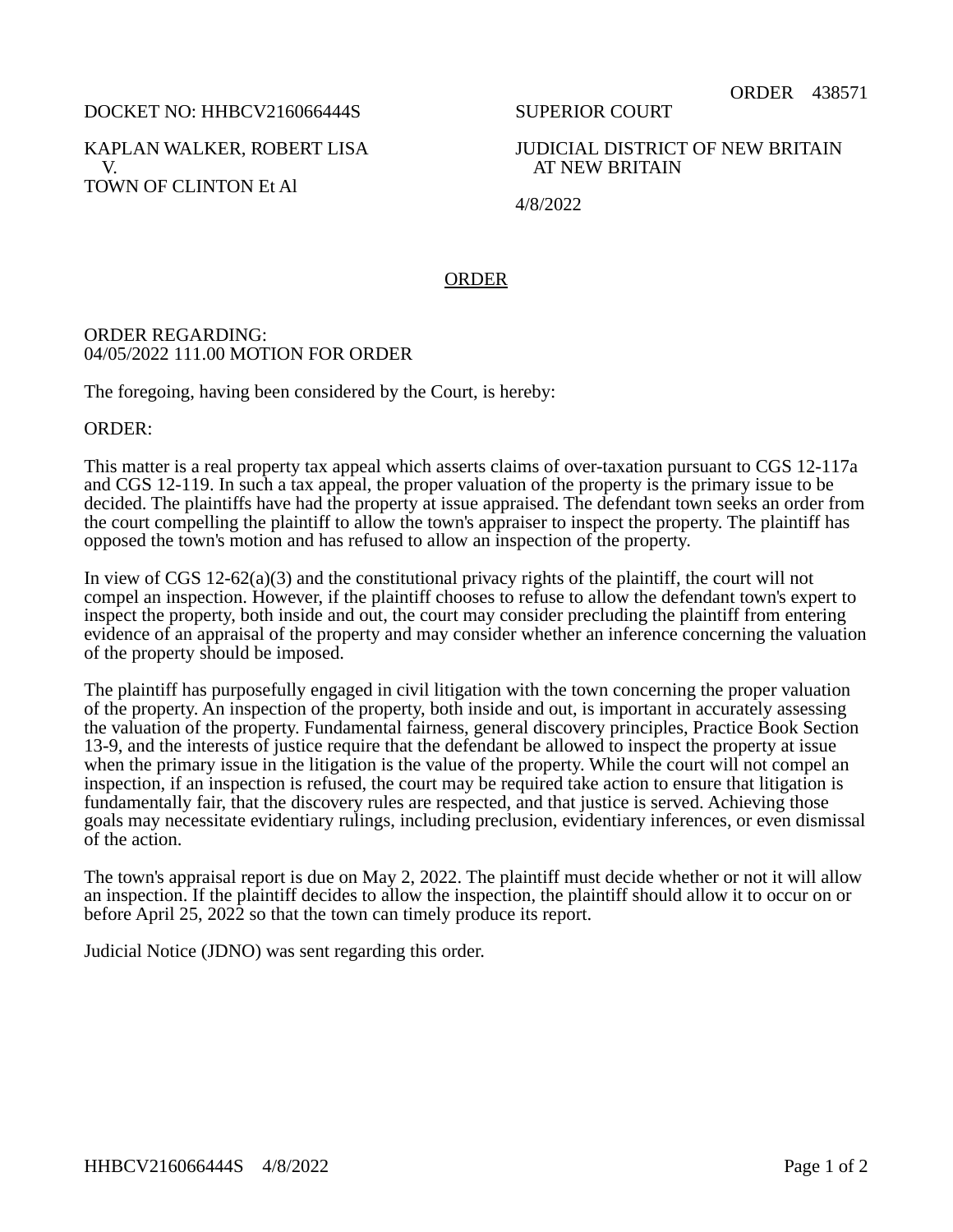DOCKET NO: HHBCV216066444S

KAPLAN WALKER, ROBERT LISA V. TOWN OF CLINTON Et Al

SUPERIOR COURT

JUDICIAL DISTRICT OF NEW BRITAIN AT NEW BRITAIN

4/8/2022

## ORDER

## ORDER REGARDING: 04/05/2022 111.00 MOTION FOR ORDER

The foregoing, having been considered by the Court, is hereby:

ORDER:

This matter is a real property tax appeal which asserts claims of over-taxation pursuant to CGS 12-117a and CGS 12-119. In such a tax appeal, the proper valuation of the property is the primary issue to be decided. The plaintiffs have had the property at issue appraised. The defendant town seeks an order from the court compelling the plaintiff to allow the town's appraiser to inspect the property. The plaintiff has opposed the town's motion and has refused to allow an inspection of the property.

In view of CGS  $12-62(a)(3)$  and the constitutional privacy rights of the plaintiff, the court will not compel an inspection. However, if the plaintiff chooses to refuse to allow the defendant town's expert to inspect the property, both inside and out, the court may consider precluding the plaintiff from entering evidence of an appraisal of the property and may consider whether an inference concerning the valuation of the property should be imposed.

The plaintiff has purposefully engaged in civil litigation with the town concerning the proper valuation of the property. An inspection of the property, both inside and out, is important in accurately assessing the valuation of the property. Fundamental fairness, general discovery principles, Practice Book Section 13-9, and the interests of justice require that the defendant be allowed to inspect the property at issue when the primary issue in the litigation is the value of the property. While the court will not compel an inspection, if an inspection is refused, the court may be required take action to ensure that litigation is fundamentally fair, that the discovery rules are respected, and that justice is served. Achieving those goals may necessitate evidentiary rulings, including preclusion, evidentiary inferences, or even dismissal of the action.

The town's appraisal report is due on May 2, 2022. The plaintiff must decide whether or not it will allow an inspection. If the plaintiff decides to allow the inspection, the plaintiff should allow it to occur on or before April 25, 2022 so that the town can timely produce its report.

Judicial Notice (JDNO) was sent regarding this order.